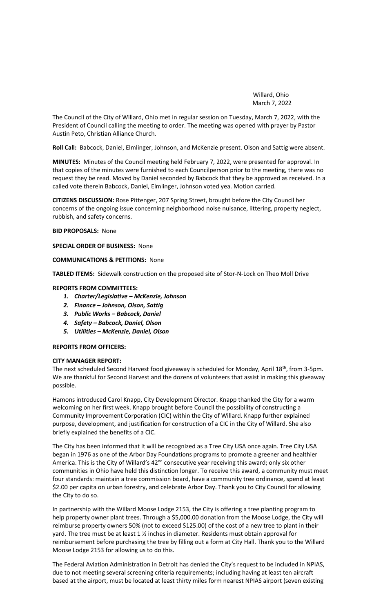Willard, Ohio March 7, 2022

The Council of the City of Willard, Ohio met in regular session on Tuesday, March 7, 2022, with the President of Council calling the meeting to order. The meeting was opened with prayer by Pastor Austin Peto, Christian Alliance Church.

**Roll Call:** Babcock, Daniel, Elmlinger, Johnson, and McKenzie present. Olson and Sattig were absent.

**MINUTES:** Minutes of the Council meeting held February 7, 2022, were presented for approval. In that copies of the minutes were furnished to each Councilperson prior to the meeting, there was no request they be read. Moved by Daniel seconded by Babcock that they be approved as received. In a called vote therein Babcock, Daniel, Elmlinger, Johnson voted yea. Motion carried.

**CITIZENS DISCUSSION:** Rose Pittenger, 207 Spring Street, brought before the City Council her concerns of the ongoing issue concerning neighborhood noise nuisance, littering, property neglect, rubbish, and safety concerns.

### **BID PROPOSALS:** None

### **SPECIAL ORDER OF BUSINESS:** None

### **COMMUNICATIONS & PETITIONS:** None

**TABLED ITEMS:** Sidewalk construction on the proposed site of Stor-N-Lock on Theo Moll Drive

#### **REPORTS FROM COMMITTEES:**

- *1. Charter/Legislative – McKenzie, Johnson*
- *2. Finance – Johnson, Olson, Sattig*
- *3. Public Works – Babcock, Daniel*
- *4. Safety – Babcock, Daniel, Olson*
- *5. Utilities – McKenzie, Daniel, Olson*

#### **REPORTS FROM OFFICERS:**

#### **CITY MANAGER REPORT:**

The next scheduled Second Harvest food giveaway is scheduled for Monday, April 18<sup>th</sup>, from 3-5pm. We are thankful for Second Harvest and the dozens of volunteers that assist in making this giveaway possible.

Hamons introduced Carol Knapp, City Development Director. Knapp thanked the City for a warm welcoming on her first week. Knapp brought before Council the possibility of constructing a Community Improvement Corporation (CIC) within the City of Willard. Knapp further explained purpose, development, and justification for construction of a CIC in the City of Willard. She also briefly explained the benefits of a CIC.

The City has been informed that it will be recognized as a Tree City USA once again. Tree City USA began in 1976 as one of the Arbor Day Foundations programs to promote a greener and healthier America. This is the City of Willard's 42<sup>nd</sup> consecutive year receiving this award; only six other communities in Ohio have held this distinction longer. To receive this award, a community must meet four standards: maintain a tree commission board, have a community tree ordinance, spend at least \$2.00 per capita on urban forestry, and celebrate Arbor Day. Thank you to City Council for allowing the City to do so.

In partnership with the Willard Moose Lodge 2153, the City is offering a tree planting program to help property owner plant trees. Through a \$5,000.00 donation from the Moose Lodge, the City will reimburse property owners 50% (not to exceed \$125.00) of the cost of a new tree to plant in their yard. The tree must be at least 1 ½ inches in diameter. Residents must obtain approval for reimbursement before purchasing the tree by filling out a form at City Hall. Thank you to the Willard Moose Lodge 2153 for allowing us to do this.

The Federal Aviation Administration in Detroit has denied the City's request to be included in NPIAS, due to not meeting several screening criteria requirements; including having at least ten aircraft based at the airport, must be located at least thirty miles form nearest NPIAS airport (seven existing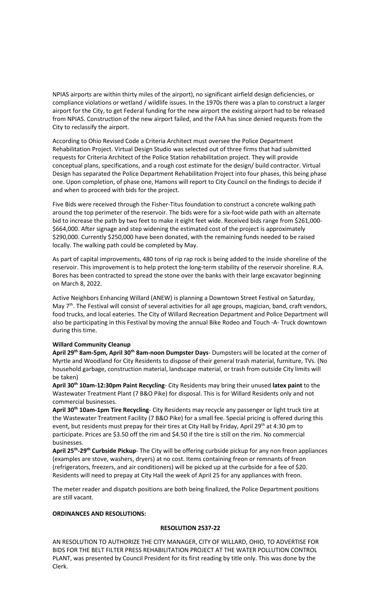NPIAS airports are within thirty miles of the airport), no significant airfield design deficiencies, or compliance violations or wetland / wildlife issues. In the 1970s there was a plan to construct a larger airport for the City, to get Federal funding for the new airport the existing airport had to be released from NPIAS. Construction of the new airport failed, and the FAA has since denied requests from the City to reclassify the airport.

According to Ohio Revised Code a Criteria Architect must oversee the Police Department Rehabilitation Project. Virtual Design Studio was selected out of three firms that had submitted requests for Criteria Architect of the Police Station rehabilitation project. They will provide conceptual plans, specifications, and a rough cost estimate for the design/ build contractor. Virtual Design has separated the Police Department Rehabilitation Project into four phases, this being phase one. Upon completion, of phase one, Hamons will report to City Council on the findings to decide if and when to proceed with bids for the project.

Five Bids were received through the Fisher-Titus foundation to construct a concrete walking path around the top perimeter of the reservoir. The bids were for a six-foot-wide path with an alternate bid to increase the path by two feet to make it eight feet wide. Received bids range from \$261,000- \$664,000. After signage and step widening the estimated cost of the project is approximately \$290,000. Currently \$250,000 have been donated, with the remaining funds needed to be raised locally. The walking path could be completed by May.

As part of capital improvements, 480 tons of rip rap rock is being added to the inside shoreline of the reservoir. This improvement is to help protect the long-term stability of the reservoir shoreline. R.A. Bores has been contracted to spread the stone over the banks with their large excavator beginning on March 8, 2022.

Active Neighbors Enhancing Willard (ANEW) is planning a Downtown Street Festival on Saturday, May 7<sup>th</sup>. The Festival will consist of several activities for all age groups, magician, band, craft vendors, food trucks, and local eateries. The City of Willard Recreation Department and Police Department will also be participating in this Festival by moving the annual Bike Rodeo and Touch -A- Truck downtown during this time.

# **Willard Community Cleanup**

**April 29th 8am-5pm, April 30th 8am-noon Dumpster Days**- Dumpsters will be located at the corner of Myrtle and Woodland for City Residents to dispose of their general trash material, furniture, TVs. (No household garbage, construction material, landscape material, or trash from outside City limits will be taken)

**April 30th 10am-12:30pm Paint Recycling**- City Residents may bring their unused **latex paint** to the Wastewater Treatment Plant (7 B&O Pike) for disposal. This is for Willard Residents only and not commercial businesses.

**April 30th 10am-1pm Tire Recycling**- City Residents may recycle any passenger or light truck tire at the Wastewater Treatment Facility (7 B&O Pike) for a small fee. Special pricing is offered during this event, but residents must prepay for their tires at City Hall by Friday, April 29<sup>th</sup> at 4:30 pm to participate. Prices are \$3.50 off the rim and \$4.50 if the tire is still on the rim. No commercial businesses.

**April 25th -29th Curbside Pickup**- The City will be offering curbside pickup for any non freon appliances (examples are stove, washers, dryers) at no cost. Items containing freon or remnants of freon (refrigerators, freezers, and air conditioners) will be picked up at the curbside for a fee of \$20. Residents will need to prepay at City Hall the week of April 25 for any appliances with freon.

The meter reader and dispatch positions are both being finalized, the Police Department positions are still vacant.

# **ORDINANCES AND RESOLUTIONS:**

### **RESOLUTION 2537-22**

AN RESOLUTION TO AUTHORIZE THE CITY MANAGER, CITY OF WILLARD, OHIO, TO ADVERTISE FOR BIDS FOR THE BELT FILTER PRESS REHABILITATION PROJECT AT THE WATER POLLUTION CONTROL PLANT, was presented by Council President for its first reading by title only. This was done by the Clerk.